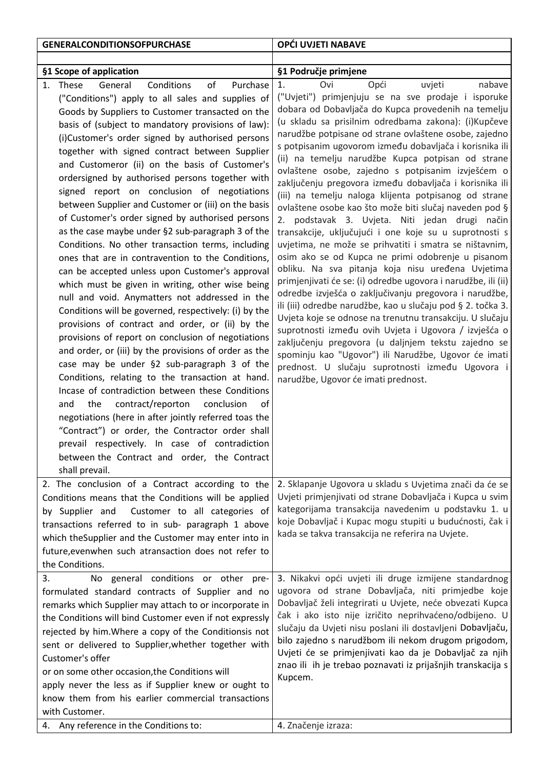| <b>GENERALCONDITIONSOFPURCHASE</b>                                                                                                                                                                                                                                                                                                                                                                                                                                                                                                                                                                                                                                                                                                                                                                                                                                                                                                                                                                                                                                                                                                                                                                                                                                                                                                                                                                                                                                                                                                                                                         | OPĆI UVJETI NABAVE                                                                                                                                                                                                                                                                                                                                                                                                                                                                                                                                                                                                                                                                                                                                                                                                                                                                                                                                                                                                                                                                                                                                                                                                                                                                                                                                                                                                               |
|--------------------------------------------------------------------------------------------------------------------------------------------------------------------------------------------------------------------------------------------------------------------------------------------------------------------------------------------------------------------------------------------------------------------------------------------------------------------------------------------------------------------------------------------------------------------------------------------------------------------------------------------------------------------------------------------------------------------------------------------------------------------------------------------------------------------------------------------------------------------------------------------------------------------------------------------------------------------------------------------------------------------------------------------------------------------------------------------------------------------------------------------------------------------------------------------------------------------------------------------------------------------------------------------------------------------------------------------------------------------------------------------------------------------------------------------------------------------------------------------------------------------------------------------------------------------------------------------|----------------------------------------------------------------------------------------------------------------------------------------------------------------------------------------------------------------------------------------------------------------------------------------------------------------------------------------------------------------------------------------------------------------------------------------------------------------------------------------------------------------------------------------------------------------------------------------------------------------------------------------------------------------------------------------------------------------------------------------------------------------------------------------------------------------------------------------------------------------------------------------------------------------------------------------------------------------------------------------------------------------------------------------------------------------------------------------------------------------------------------------------------------------------------------------------------------------------------------------------------------------------------------------------------------------------------------------------------------------------------------------------------------------------------------|
|                                                                                                                                                                                                                                                                                                                                                                                                                                                                                                                                                                                                                                                                                                                                                                                                                                                                                                                                                                                                                                                                                                                                                                                                                                                                                                                                                                                                                                                                                                                                                                                            |                                                                                                                                                                                                                                                                                                                                                                                                                                                                                                                                                                                                                                                                                                                                                                                                                                                                                                                                                                                                                                                                                                                                                                                                                                                                                                                                                                                                                                  |
| §1 Scope of application                                                                                                                                                                                                                                                                                                                                                                                                                                                                                                                                                                                                                                                                                                                                                                                                                                                                                                                                                                                                                                                                                                                                                                                                                                                                                                                                                                                                                                                                                                                                                                    | §1 Područje primjene                                                                                                                                                                                                                                                                                                                                                                                                                                                                                                                                                                                                                                                                                                                                                                                                                                                                                                                                                                                                                                                                                                                                                                                                                                                                                                                                                                                                             |
| Conditions<br>of<br>1. These<br>Purchase<br>General<br>("Conditions") apply to all sales and supplies of<br>Goods by Suppliers to Customer transacted on the<br>basis of (subject to mandatory provisions of law):<br>(i)Customer's order signed by authorised persons<br>together with signed contract between Supplier<br>and Customeror (ii) on the basis of Customer's<br>ordersigned by authorised persons together with<br>signed report on conclusion of negotiations<br>between Supplier and Customer or (iii) on the basis<br>of Customer's order signed by authorised persons<br>as the case maybe under §2 sub-paragraph 3 of the<br>Conditions. No other transaction terms, including<br>ones that are in contravention to the Conditions,<br>can be accepted unless upon Customer's approval<br>which must be given in writing, other wise being<br>null and void. Anymatters not addressed in the<br>Conditions will be governed, respectively: (i) by the<br>provisions of contract and order, or (ii) by the<br>provisions of report on conclusion of negotiations<br>and order, or (iii) by the provisions of order as the<br>case may be under §2 sub-paragraph 3 of the<br>Conditions, relating to the transaction at hand.<br>Incase of contradiction between these Conditions<br>contract/reporton<br>conclusion<br>and<br>the<br>οf<br>negotiations (here in after jointly referred toas the<br>"Contract") or order, the Contractor order shall<br>prevail respectively. In case of contradiction<br>between the Contract and order, the Contract<br>shall prevail. | Opći<br>uvjeti<br>nabave<br>1.<br>Ovi<br>("Uvjeti") primjenjuju se na sve prodaje i isporuke<br>dobara od Dobavljača do Kupca provedenih na temelju<br>(u skladu sa prisilnim odredbama zakona): (i)Kupčeve<br>narudžbe potpisane od strane ovlaštene osobe, zajedno<br>s potpisanim ugovorom između dobavljača i korisnika ili<br>(ii) na temelju narudžbe Kupca potpisan od strane<br>ovlaštene osobe, zajedno s potpisanim izvješćem o<br>zaključenju pregovora između dobavljača i korisnika ili<br>(iii) na temelju naloga klijenta potpisanog od strane<br>ovlaštene osobe kao što može biti slučaj naveden pod §<br>2. podstavak 3. Uvjeta. Niti jedan drugi način<br>transakcije, uključujući i one koje su u suprotnosti s<br>uvjetima, ne može se prihvatiti i smatra se ništavnim,<br>osim ako se od Kupca ne primi odobrenje u pisanom<br>obliku. Na sva pitanja koja nisu uređena Uvjetima<br>primjenjivati će se: (i) odredbe ugovora i narudžbe, ili (ii)<br>odredbe izvješća o zaključivanju pregovora i narudžbe,<br>ili (iii) odredbe narudžbe, kao u slučaju pod § 2. točka 3.<br>Uvjeta koje se odnose na trenutnu transakciju. U slučaju<br>suprotnosti između ovih Uvjeta i Ugovora / izvješća o<br>zaključenju pregovora (u daljnjem tekstu zajedno se<br>spominju kao "Ugovor") ili Narudžbe, Ugovor će imati<br>prednost. U slučaju suprotnosti između Ugovora i<br>narudžbe, Ugovor će imati prednost. |
| 2. The conclusion of a Contract according to the<br>Conditions means that the Conditions will be applied<br>by Supplier and<br>Customer to all categories of<br>transactions referred to in sub- paragraph 1 above<br>which theSupplier and the Customer may enter into in<br>future, evenwhen such atransaction does not refer to<br>the Conditions.                                                                                                                                                                                                                                                                                                                                                                                                                                                                                                                                                                                                                                                                                                                                                                                                                                                                                                                                                                                                                                                                                                                                                                                                                                      | 2. Sklapanje Ugovora u skladu s Uvjetima znači da će se<br>Uvjeti primjenjivati od strane Dobavljača i Kupca u svim<br>kategorijama transakcija navedenim u podstavku 1. u<br>koje Dobavljač i Kupac mogu stupiti u budućnosti, čak i<br>kada se takva transakcija ne referira na Uvjete.                                                                                                                                                                                                                                                                                                                                                                                                                                                                                                                                                                                                                                                                                                                                                                                                                                                                                                                                                                                                                                                                                                                                        |
| No general conditions or other pre-<br>3.<br>formulated standard contracts of Supplier and no<br>remarks which Supplier may attach to or incorporate in<br>the Conditions will bind Customer even if not expressly<br>rejected by him. Where a copy of the Conditionsis not<br>sent or delivered to Supplier, whether together with<br>Customer's offer<br>or on some other occasion, the Conditions will<br>apply never the less as if Supplier knew or ought to<br>know them from his earlier commercial transactions<br>with Customer.<br>4. Any reference in the Conditions to:                                                                                                                                                                                                                                                                                                                                                                                                                                                                                                                                                                                                                                                                                                                                                                                                                                                                                                                                                                                                        | 3. Nikakvi opći uvjeti ili druge izmijene standardnog<br>ugovora od strane Dobavljača, niti primjedbe koje<br>Dobavljač želi integrirati u Uvjete, neće obvezati Kupca<br>čak i ako isto nije izričito neprihvaćeno/odbijeno. U<br>slučaju da Uvjeti nisu poslani ili dostavljeni Dobavljaču,<br>bilo zajedno s narudžbom ili nekom drugom prigodom,<br>Uvjeti će se primjenjivati kao da je Dobavljač za njih<br>znao ili ih je trebao poznavati iz prijašnjih transkacija s<br>Kupcem.<br>4. Značenje izraza:                                                                                                                                                                                                                                                                                                                                                                                                                                                                                                                                                                                                                                                                                                                                                                                                                                                                                                                  |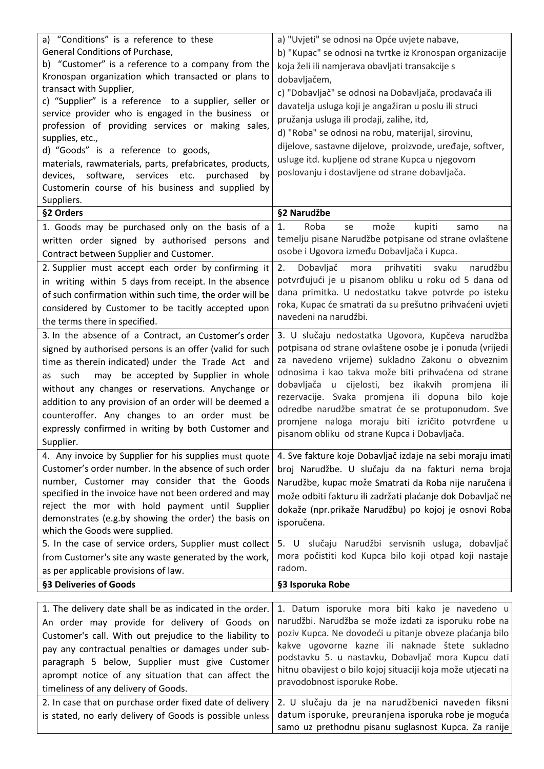| a) "Conditions" is a reference to these<br>General Conditions of Purchase,<br>b) "Customer" is a reference to a company from the<br>Kronospan organization which transacted or plans to<br>transact with Supplier,<br>c) "Supplier" is a reference to a supplier, seller or<br>service provider who is engaged in the business or<br>profession of providing services or making sales,<br>supplies, etc.,<br>d) "Goods" is a reference to goods,<br>materials, rawmaterials, parts, prefabricates, products,<br>devices, software, services etc.<br>purchased<br>by<br>Customerin course of his business and supplied by<br>Suppliers. | a) "Uvjeti" se odnosi na Opće uvjete nabave,<br>b) "Kupac" se odnosi na tvrtke iz Kronospan organizacije<br>koja želi ili namjerava obavljati transakcije s<br>dobavljačem,<br>c) "Dobavljač" se odnosi na Dobavljača, prodavača ili<br>davatelja usluga koji je angažiran u poslu ili struci<br>pružanja usluga ili prodaji, zalihe, itd,<br>d) "Roba" se odnosi na robu, materijal, sirovinu,<br>dijelove, sastavne dijelove, proizvode, uređaje, softver,<br>usluge itd. kupljene od strane Kupca u njegovom<br>poslovanju i dostavljene od strane dobavljača. |
|----------------------------------------------------------------------------------------------------------------------------------------------------------------------------------------------------------------------------------------------------------------------------------------------------------------------------------------------------------------------------------------------------------------------------------------------------------------------------------------------------------------------------------------------------------------------------------------------------------------------------------------|-------------------------------------------------------------------------------------------------------------------------------------------------------------------------------------------------------------------------------------------------------------------------------------------------------------------------------------------------------------------------------------------------------------------------------------------------------------------------------------------------------------------------------------------------------------------|
| §2 Orders                                                                                                                                                                                                                                                                                                                                                                                                                                                                                                                                                                                                                              | §2 Narudžbe                                                                                                                                                                                                                                                                                                                                                                                                                                                                                                                                                       |
| 1. Goods may be purchased only on the basis of a<br>written order signed by authorised persons and<br>Contract between Supplier and Customer.                                                                                                                                                                                                                                                                                                                                                                                                                                                                                          | može<br>Roba<br>kupiti<br>1.<br>samo<br>se<br>na<br>temelju pisane Narudžbe potpisane od strane ovlaštene<br>osobe i Ugovora između Dobavljača i Kupca.                                                                                                                                                                                                                                                                                                                                                                                                           |
| 2. Supplier must accept each order by confirming it<br>in writing within 5 days from receipt. In the absence<br>of such confirmation within such time, the order will be<br>considered by Customer to be tacitly accepted upon<br>the terms there in specified.                                                                                                                                                                                                                                                                                                                                                                        | prihvatiti<br>Dobavljač<br>svaku<br>narudžbu<br>2.<br>mora<br>potvrđujući je u pisanom obliku u roku od 5 dana od<br>dana primitka. U nedostatku takve potvrde po isteku<br>roka, Kupac će smatrati da su prešutno prihvaćeni uvjeti<br>navedeni na narudžbi.                                                                                                                                                                                                                                                                                                     |
| 3. In the absence of a Contract, an Customer's order<br>signed by authorised persons is an offer (valid for such<br>time as therein indicated) under the Trade Act and<br>may be accepted by Supplier in whole<br>as such<br>without any changes or reservations. Anychange or<br>addition to any provision of an order will be deemed a<br>counteroffer. Any changes to an order must be<br>expressly confirmed in writing by both Customer and<br>Supplier.                                                                                                                                                                          | 3. U slučaju nedostatka Ugovora, Kupčeva narudžba<br>potpisana od strane ovlaštene osobe je i ponuda (vrijedi<br>za navedeno vrijeme) sukladno Zakonu o obveznim<br>odnosima i kao takva može biti prihvaćena od strane<br>dobavljača u cijelosti, bez ikakvih promjena ili<br>rezervacije. Svaka promjena ili dopuna bilo koje<br>odredbe narudžbe smatrat će se protuponudom. Sve<br>promjene naloga moraju biti izričito potvrđene u<br>pisanom obliku od strane Kupca i Dobavljača.                                                                           |
| 4. Any invoice by Supplier for his supplies must quote<br>Customer's order number. In the absence of such order<br>number, Customer may consider that the Goods<br>specified in the invoice have not been ordered and may<br>reject the mor with hold payment until Supplier<br>demonstrates (e.g.by showing the order) the basis on<br>which the Goods were supplied.<br>5. In the case of service orders, Supplier must collect<br>from Customer's site any waste generated by the work,                                                                                                                                             | 4. Sve fakture koje Dobavljač izdaje na sebi moraju imati<br>broj Narudžbe. U slučaju da na fakturi nema broja<br>Narudžbe, kupac može Smatrati da Roba nije naručena i<br>može odbiti fakturu ili zadržati plaćanje dok Dobavljač ne<br>dokaže (npr.prikaže Narudžbu) po kojoj je osnovi Roba<br>isporučena.<br>5. U slučaju Narudžbi servisnih usluga, dobavljač<br>mora počistiti kod Kupca bilo koji otpad koji nastaje                                                                                                                                       |
| as per applicable provisions of law.                                                                                                                                                                                                                                                                                                                                                                                                                                                                                                                                                                                                   | radom.                                                                                                                                                                                                                                                                                                                                                                                                                                                                                                                                                            |
| §3 Deliveries of Goods                                                                                                                                                                                                                                                                                                                                                                                                                                                                                                                                                                                                                 | §3 Isporuka Robe                                                                                                                                                                                                                                                                                                                                                                                                                                                                                                                                                  |
| 1. The delivery date shall be as indicated in the order.<br>An order may provide for delivery of Goods on<br>Customer's call. With out prejudice to the liability to<br>pay any contractual penalties or damages under sub-<br>paragraph 5 below, Supplier must give Customer<br>aprompt notice of any situation that can affect the<br>timeliness of any delivery of Goods.<br>2. In case that on purchase order fixed date of delivery<br>is stated, no early delivery of Goods is possible unless                                                                                                                                   | 1. Datum isporuke mora biti kako je navedeno u<br>narudžbi. Narudžba se može izdati za isporuku robe na<br>poziv Kupca. Ne dovodeći u pitanje obveze plaćanja bilo<br>kakve ugovorne kazne ili naknade štete sukladno<br>podstavku 5. u nastavku, Dobavljač mora Kupcu dati<br>hitnu obavijest o bilo kojoj situaciji koja može utjecati na<br>pravodobnost isporuke Robe.<br>2. U slučaju da je na narudžbenici naveden fiksni<br>datum isporuke, preuranjena isporuka robe je moguća                                                                            |
|                                                                                                                                                                                                                                                                                                                                                                                                                                                                                                                                                                                                                                        | samo uz prethodnu pisanu suglasnost Kupca. Za ranije                                                                                                                                                                                                                                                                                                                                                                                                                                                                                                              |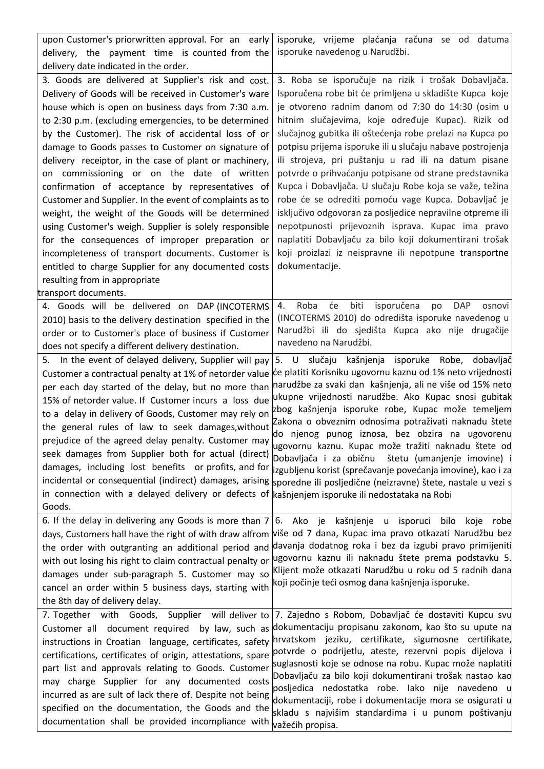| upon Customer's priorwritten approval. For an early<br>delivery, the payment time is counted from the<br>delivery date indicated in the order.                                                                                                                                                                                                                                                                                                                                                                                                                                                                                                  | isporuke, vrijeme plaćanja računa se od datuma<br>isporuke navedenog u Narudžbi.                                                                                                                                                                                                                                                                                                                                                                                                                                                                                                                                                                                                                   |
|-------------------------------------------------------------------------------------------------------------------------------------------------------------------------------------------------------------------------------------------------------------------------------------------------------------------------------------------------------------------------------------------------------------------------------------------------------------------------------------------------------------------------------------------------------------------------------------------------------------------------------------------------|----------------------------------------------------------------------------------------------------------------------------------------------------------------------------------------------------------------------------------------------------------------------------------------------------------------------------------------------------------------------------------------------------------------------------------------------------------------------------------------------------------------------------------------------------------------------------------------------------------------------------------------------------------------------------------------------------|
| 3. Goods are delivered at Supplier's risk and cost.                                                                                                                                                                                                                                                                                                                                                                                                                                                                                                                                                                                             | 3. Roba se isporučuje na rizik i trošak Dobavljača.                                                                                                                                                                                                                                                                                                                                                                                                                                                                                                                                                                                                                                                |
| Delivery of Goods will be received in Customer's ware                                                                                                                                                                                                                                                                                                                                                                                                                                                                                                                                                                                           | Isporučena robe bit će primljena u skladište Kupca koje                                                                                                                                                                                                                                                                                                                                                                                                                                                                                                                                                                                                                                            |
| house which is open on business days from 7:30 a.m.                                                                                                                                                                                                                                                                                                                                                                                                                                                                                                                                                                                             | je otvoreno radnim danom od 7:30 do 14:30 (osim u                                                                                                                                                                                                                                                                                                                                                                                                                                                                                                                                                                                                                                                  |
| to 2:30 p.m. (excluding emergencies, to be determined                                                                                                                                                                                                                                                                                                                                                                                                                                                                                                                                                                                           | hitnim slučajevima, koje određuje Kupac). Rizik od                                                                                                                                                                                                                                                                                                                                                                                                                                                                                                                                                                                                                                                 |
| by the Customer). The risk of accidental loss of or                                                                                                                                                                                                                                                                                                                                                                                                                                                                                                                                                                                             | slučajnog gubitka ili oštećenja robe prelazi na Kupca po                                                                                                                                                                                                                                                                                                                                                                                                                                                                                                                                                                                                                                           |
| damage to Goods passes to Customer on signature of                                                                                                                                                                                                                                                                                                                                                                                                                                                                                                                                                                                              | potpisu prijema isporuke ili u slučaju nabave postrojenja                                                                                                                                                                                                                                                                                                                                                                                                                                                                                                                                                                                                                                          |
| delivery receiptor, in the case of plant or machinery,                                                                                                                                                                                                                                                                                                                                                                                                                                                                                                                                                                                          | ili strojeva, pri puštanju u rad ili na datum pisane                                                                                                                                                                                                                                                                                                                                                                                                                                                                                                                                                                                                                                               |
| on commissioning or on the date of written                                                                                                                                                                                                                                                                                                                                                                                                                                                                                                                                                                                                      | potvrde o prihvaćanju potpisane od strane predstavnika                                                                                                                                                                                                                                                                                                                                                                                                                                                                                                                                                                                                                                             |
| confirmation of acceptance by representatives of                                                                                                                                                                                                                                                                                                                                                                                                                                                                                                                                                                                                | Kupca i Dobavljača. U slučaju Robe koja se važe, težina                                                                                                                                                                                                                                                                                                                                                                                                                                                                                                                                                                                                                                            |
| Customer and Supplier. In the event of complaints as to                                                                                                                                                                                                                                                                                                                                                                                                                                                                                                                                                                                         | robe će se odrediti pomoću vage Kupca. Dobavljač je                                                                                                                                                                                                                                                                                                                                                                                                                                                                                                                                                                                                                                                |
| weight, the weight of the Goods will be determined                                                                                                                                                                                                                                                                                                                                                                                                                                                                                                                                                                                              | isključivo odgovoran za posljedice nepravilne otpreme ili                                                                                                                                                                                                                                                                                                                                                                                                                                                                                                                                                                                                                                          |
| using Customer's weigh. Supplier is solely responsible                                                                                                                                                                                                                                                                                                                                                                                                                                                                                                                                                                                          | nepotpunosti prijevoznih isprava. Kupac ima pravo                                                                                                                                                                                                                                                                                                                                                                                                                                                                                                                                                                                                                                                  |
| for the consequences of improper preparation or                                                                                                                                                                                                                                                                                                                                                                                                                                                                                                                                                                                                 | naplatiti Dobavljaču za bilo koji dokumentirani trošak                                                                                                                                                                                                                                                                                                                                                                                                                                                                                                                                                                                                                                             |
| incompleteness of transport documents. Customer is                                                                                                                                                                                                                                                                                                                                                                                                                                                                                                                                                                                              | koji proizlazi iz neispravne ili nepotpune transportne                                                                                                                                                                                                                                                                                                                                                                                                                                                                                                                                                                                                                                             |
| entitled to charge Supplier for any documented costs                                                                                                                                                                                                                                                                                                                                                                                                                                                                                                                                                                                            | dokumentacije.                                                                                                                                                                                                                                                                                                                                                                                                                                                                                                                                                                                                                                                                                     |
| resulting from in appropriate<br>transport documents.                                                                                                                                                                                                                                                                                                                                                                                                                                                                                                                                                                                           |                                                                                                                                                                                                                                                                                                                                                                                                                                                                                                                                                                                                                                                                                                    |
| 4. Goods will be delivered on DAP (INCOTERMS<br>2010) basis to the delivery destination specified in the<br>order or to Customer's place of business if Customer<br>does not specify a different delivery destination.                                                                                                                                                                                                                                                                                                                                                                                                                          | će<br>biti<br>isporučena<br>Roba<br><b>DAP</b><br>4.<br>po<br>osnovi<br>(INCOTERMS 2010) do odredišta isporuke navedenog u<br>Narudžbi ili do sjedišta Kupca ako nije drugačije<br>navedeno na Narudžbi.                                                                                                                                                                                                                                                                                                                                                                                                                                                                                           |
| 5. In the event of delayed delivery, Supplier will pay<br>Customer a contractual penalty at 1% of netorder value<br>per each day started of the delay, but no more than<br>15% of netorder value. If Customer incurs a loss due<br>to a delay in delivery of Goods, Customer may rely on<br>the general rules of law to seek damages, without<br>prejudice of the agreed delay penalty. Customer may<br>seek damages from Supplier both for actual (direct)<br>damages, including lost benefits or profits, and for<br>incidental or consequential (indirect) damages, arising<br>in connection with a delayed delivery or defects of<br>Goods. | 5. U slučaju kašnjenja isporuke Robe,<br>dobavljač<br>će platiti Korisniku ugovornu kaznu od 1% neto vrijednosti<br>narudžbe za svaki dan kašnjenja, ali ne više od 15% neto<br>ukupne vrijednosti narudžbe. Ako Kupac snosi gubitak<br>zbog kašnjenja isporuke robe, Kupac može temeljem<br>Zakona o obveznim odnosima potraživati naknadu štete<br>do njenog punog iznosa, bez obzira na ugovorenu<br>ugovornu kaznu. Kupac može tražiti naknadu štete od<br>Dobavljača i za običnu<br>štetu (umanjenje imovine) i<br>izgubljenu korist (sprečavanje povećanja imovine), kao i za<br>sporedne ili posljedične (neizravne) štete, nastale u vezi s<br>kašnjenjem isporuke ili nedostataka na Robi |
| 6. If the delay in delivering any Goods is more than 7<br>days, Customers hall have the right of with draw alfrom<br>the order with outgranting an additional period and<br>with out losing his right to claim contractual penalty or<br>damages under sub-paragraph 5. Customer may so<br>cancel an order within 5 business days, starting with<br>the 8th day of delivery delay.                                                                                                                                                                                                                                                              | 6. Ako je<br>kašnjenje<br>u isporuci<br>bilo<br>koje<br>robe<br>više od 7 dana, Kupac ima pravo otkazati Narudžbu bez<br>davanja dodatnog roka i bez da izgubi pravo primijeniti<br>ugovornu kaznu ili naknadu štete prema podstavku 5.<br>Klijent može otkazati Narudžbu u roku od 5 radnih dana<br>koji počinje teći osmog dana kašnjenja isporuke.                                                                                                                                                                                                                                                                                                                                              |
| 7. Together with Goods, Supplier                                                                                                                                                                                                                                                                                                                                                                                                                                                                                                                                                                                                                | 7. Zajedno s Robom, Dobavljač će dostaviti Kupcu svu                                                                                                                                                                                                                                                                                                                                                                                                                                                                                                                                                                                                                                               |
| will deliver to                                                                                                                                                                                                                                                                                                                                                                                                                                                                                                                                                                                                                                 | dokumentaciju propisanu zakonom, kao što su upute na                                                                                                                                                                                                                                                                                                                                                                                                                                                                                                                                                                                                                                               |
| Customer all document required by law, such as                                                                                                                                                                                                                                                                                                                                                                                                                                                                                                                                                                                                  | hrvatskom jeziku, certifikate, sigurnosne certifikate,                                                                                                                                                                                                                                                                                                                                                                                                                                                                                                                                                                                                                                             |
| instructions in Croatian language, certificates, safety                                                                                                                                                                                                                                                                                                                                                                                                                                                                                                                                                                                         | potvrde o podrijetlu, ateste, rezervni popis dijelova                                                                                                                                                                                                                                                                                                                                                                                                                                                                                                                                                                                                                                              |
| certifications, certificates of origin, attestations, spare                                                                                                                                                                                                                                                                                                                                                                                                                                                                                                                                                                                     | suglasnosti koje se odnose na robu. Kupac može naplatiti                                                                                                                                                                                                                                                                                                                                                                                                                                                                                                                                                                                                                                           |
| part list and approvals relating to Goods. Customer                                                                                                                                                                                                                                                                                                                                                                                                                                                                                                                                                                                             | Dobavljaču za bilo koji dokumentirani trošak nastao kao                                                                                                                                                                                                                                                                                                                                                                                                                                                                                                                                                                                                                                            |
| may charge Supplier for any documented costs                                                                                                                                                                                                                                                                                                                                                                                                                                                                                                                                                                                                    | posljedica nedostatka robe. Iako nije navedeno u                                                                                                                                                                                                                                                                                                                                                                                                                                                                                                                                                                                                                                                   |
| incurred as are sult of lack there of. Despite not being                                                                                                                                                                                                                                                                                                                                                                                                                                                                                                                                                                                        | dokumentaciji, robe i dokumentacije mora se osigurati u                                                                                                                                                                                                                                                                                                                                                                                                                                                                                                                                                                                                                                            |
| specified on the documentation, the Goods and the                                                                                                                                                                                                                                                                                                                                                                                                                                                                                                                                                                                               | skladu s najvišim standardima i u punom poštivanju                                                                                                                                                                                                                                                                                                                                                                                                                                                                                                                                                                                                                                                 |
| documentation shall be provided incompliance with                                                                                                                                                                                                                                                                                                                                                                                                                                                                                                                                                                                               | važećih propisa.                                                                                                                                                                                                                                                                                                                                                                                                                                                                                                                                                                                                                                                                                   |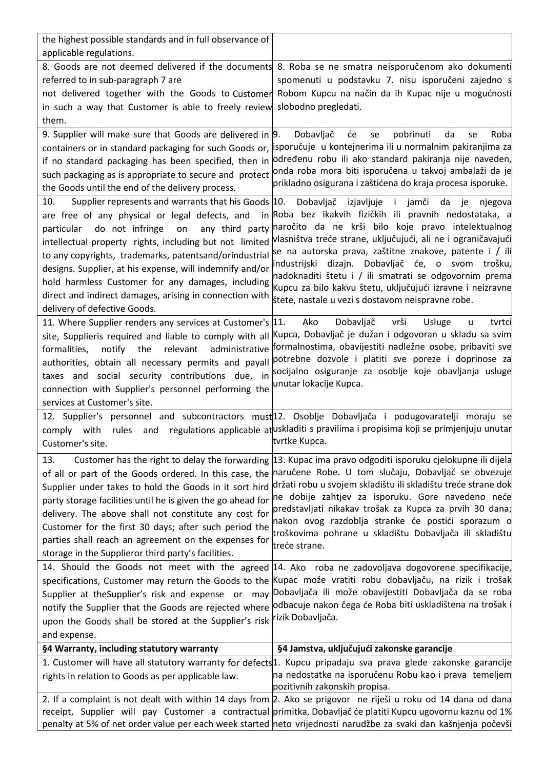| the highest possible standards and in full observance of          |                                                                                                                            |
|-------------------------------------------------------------------|----------------------------------------------------------------------------------------------------------------------------|
| applicable regulations.                                           |                                                                                                                            |
|                                                                   | 8. Goods are not deemed delivered if the documents 8. Roba se ne smatra neisporučenom ako dokumenti                        |
| referred to in sub-paragraph 7 are                                | spomenuti u podstavku 7. nisu isporučeni zajedno s                                                                         |
| not delivered together with the Goods to Customer                 | Robom Kupcu na način da ih Kupac nije u mogućnosti                                                                         |
| in such a way that Customer is able to freely review              | slobodno pregledati.                                                                                                       |
| them.                                                             |                                                                                                                            |
| 9. Supplier will make sure that Goods are delivered in $\vert$ 9. | Dobavljač<br>će<br>pobrinuti<br>da<br>se<br>Roba<br>se                                                                     |
|                                                                   | containers or in standard packaging for such Goods or, lisporučuje u kontejnerima ili u normalnim pakiranjima za           |
| if no standard packaging has been specified, then in              | određenu robu ili ako standard pakiranja nije naveden,                                                                     |
| such packaging as is appropriate to secure and protect            | onda roba mora biti isporučena u takvoj ambalaži da je                                                                     |
| the Goods until the end of the delivery process.                  | prikladno osigurana i zaštićena do kraja procesa isporuke.                                                                 |
| Supplier represents and warrants that his Goods 10.<br>10.        | Dobavljač<br>izjavljuje<br>jamči<br>$\blacksquare$<br>da<br>je<br>njegova                                                  |
| are free of any physical or legal defects, and                    | in Roba bez ikakvih fizičkih ili pravnih nedostataka, a                                                                    |
| do not infringe<br>any third party<br>particular<br>on            | naročito da ne krši bilo koje pravo intelektualnog                                                                         |
| intellectual property rights, including but not limited           | vlasništva treće strane, uključujući, ali ne i ograničavajući                                                              |
| to any copyrights, trademarks, patentsand/orindustrial            | se na autorska prava, zaštitne znakove, patente i / ili<br>dizajn. Dobavljač će, o svom<br>industrijski<br>trošku,         |
| designs. Supplier, at his expense, will indemnify and/or          | nadoknaditi štetu i / ili smatrati se odgovornim prema                                                                     |
| hold harmless Customer for any damages, including                 | Kupcu za bilo kakvu štetu, uključujući izravne i neizravne                                                                 |
| direct and indirect damages, arising in connection with           | štete, nastale u vezi s dostavom neispravne robe.                                                                          |
| delivery of defective Goods.                                      |                                                                                                                            |
| 11. Where Supplier renders any services at Customer's  11.        | Ako<br>Dobavljač<br>vrši<br>Usluge<br>tvrtci<br>u                                                                          |
| site, Supplieris required and liable to comply with all           | Kupca, Dobavljač je dužan i odgovoran u skladu sa svim                                                                     |
| relevant<br>notify the<br>administrative<br>formalities,          | formalnostima, obavijestiti nadležne osobe, pribaviti sve                                                                  |
| authorities, obtain all necessary permits and payall              | potrebne dozvole i platiti sve poreze i doprinose za<br>socijalno osiguranje za osoblje koje obavljanja usluge             |
| taxes and social security contributions due, in                   | unutar lokacije Kupca.                                                                                                     |
| connection with Supplier's personnel performing the               |                                                                                                                            |
| services at Customer's site.                                      |                                                                                                                            |
|                                                                   | 12. Supplier's personnel and subcontractors must <sup>12</sup> . Osoblje Dobavljača i podugovaratelji moraju se            |
| rules<br>comply with<br>and                                       | regulations applicable at uskladiti s pravilima i propisima koji se primjenjuju unutar<br>tvrtke Kupca.                    |
| Customer's site.                                                  |                                                                                                                            |
| 13.                                                               | Customer has the right to delay the forwarding 13. Kupac ima pravo odgoditi isporuku cjelokupne ili dijela                 |
| of all or part of the Goods ordered. In this case, the            | naručene Robe. U tom slučaju, Dobavljač se obvezuje                                                                        |
| Supplier under takes to hold the Goods in it sort hird            | držati robu u svojem skladištu ili skladištu treće strane dok                                                              |
| party storage facilities until he is given the go ahead for       | ne dobije zahtjev za isporuku. Gore navedeno neće<br>predstavljati nikakav trošak za Kupca za prvih 30 dana;               |
| delivery. The above shall not constitute any cost for             | nakon ovog razdoblja stranke će postići sporazum o                                                                         |
| Customer for the first 30 days; after such period the             | troškovima pohrane u skladištu Dobavljača ili skladištu                                                                    |
| parties shall reach an agreement on the expenses for              | treće strane.                                                                                                              |
| storage in the Supplieror third party's facilities.               |                                                                                                                            |
|                                                                   | 14. Should the Goods not meet with the agreed 14. Ako roba ne zadovoljava dogovorene specifikacije,                        |
|                                                                   | specifications, Customer may return the Goods to the Kupac može vratiti robu dobavljaču, na rizik i trošak                 |
| Supplier at theSupplier's risk and expense or may                 | Dobavljača ili može obavijestiti Dobavljača da se roba<br>odbacuje nakon čega će Roba biti uskladištena na trošak          |
| notify the Supplier that the Goods are rejected where             | rizik Dobavljača.                                                                                                          |
| upon the Goods shall be stored at the Supplier's risk             |                                                                                                                            |
| and expense.                                                      |                                                                                                                            |
| §4 Warranty, including statutory warranty                         | §4 Jamstva, uključujući zakonske garancije                                                                                 |
|                                                                   | 1. Customer will have all statutory warranty for defects <sup>1</sup> . Kupcu pripadaju sva prava glede zakonske garancije |
| rights in relation to Goods as per applicable law.                | na nedostatke na isporučenu Robu kao i prava temeljem<br>pozitivnih zakonskih propisa.                                     |
|                                                                   | 2. If a complaint is not dealt with within 14 days from 2. Ako se prigovor ne riješi u roku od 14 dana od dana             |
|                                                                   | receipt, Supplier will pay Customer a contractual primitka, Dobavljač će platiti Kupcu ugovornu kaznu od 1%                |
|                                                                   | penalty at 5% of net order value per each week started neto vrijednosti narudžbe za svaki dan kašnjenja počevši            |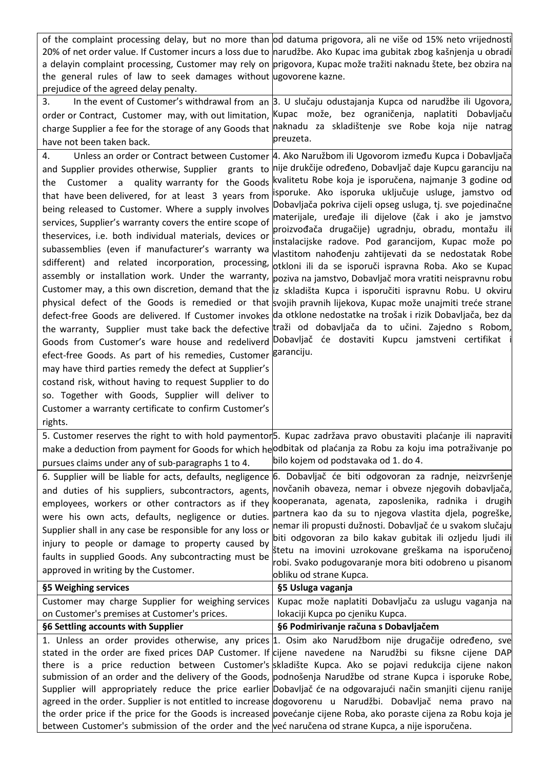| the general rules of law to seek damages without ugovorene kazne.<br>prejudice of the agreed delay penalty.                                                                                                                                                                                                                                                                                                                                                                                                                                                                                                                                                                                                                                                                  | of the complaint processing delay, but no more than od datuma prigovora, ali ne više od 15% neto vrijednosti<br>20% of net order value. If Customer incurs a loss due to narudžbe. Ako Kupac ima gubitak zbog kašnjenja u obradi<br>a delayin complaint processing, Customer may rely on prigovora, Kupac može tražiti naknadu štete, bez obzira na                                                                                                                                                                                                                                                                                                                                                                                                                                                                                                                                                                                                                                                                                                                                                                                                                                                                                                                                                                             |
|------------------------------------------------------------------------------------------------------------------------------------------------------------------------------------------------------------------------------------------------------------------------------------------------------------------------------------------------------------------------------------------------------------------------------------------------------------------------------------------------------------------------------------------------------------------------------------------------------------------------------------------------------------------------------------------------------------------------------------------------------------------------------|---------------------------------------------------------------------------------------------------------------------------------------------------------------------------------------------------------------------------------------------------------------------------------------------------------------------------------------------------------------------------------------------------------------------------------------------------------------------------------------------------------------------------------------------------------------------------------------------------------------------------------------------------------------------------------------------------------------------------------------------------------------------------------------------------------------------------------------------------------------------------------------------------------------------------------------------------------------------------------------------------------------------------------------------------------------------------------------------------------------------------------------------------------------------------------------------------------------------------------------------------------------------------------------------------------------------------------|
| 3.<br>order or Contract, Customer may, with out limitation, Kupac može, bez ograničenja, naplatiti<br>have not been taken back.                                                                                                                                                                                                                                                                                                                                                                                                                                                                                                                                                                                                                                              | In the event of Customer's withdrawal from an 3. U slučaju odustajanja Kupca od narudžbe ili Ugovora,<br>Dobavljaču<br>charge Supplier a fee for the storage of any Goods that naknadu za skladištenje sve Robe koja nije natrag<br>preuzeta.                                                                                                                                                                                                                                                                                                                                                                                                                                                                                                                                                                                                                                                                                                                                                                                                                                                                                                                                                                                                                                                                                   |
| 4.<br>and Supplier provides otherwise, Supplier grants to<br>Customer a quality warranty for the Goods<br>the<br>that have been delivered, for at least 3 years from<br>being released to Customer. Where a supply involves<br>services, Supplier's warranty covers the entire scope of<br>theservices, i.e. both individual materials, devices or<br>subassemblies (even if manufacturer's warranty wa<br>sdifferent) and related incorporation, processing,<br>efect-free Goods. As part of his remedies, Customer Baranciju.<br>may have third parties remedy the defect at Supplier's<br>costand risk, without having to request Supplier to do<br>so. Together with Goods, Supplier will deliver to<br>Customer a warranty certificate to confirm Customer's<br>rights. | Unless an order or Contract between Customer   4. Ako Naružbom ili Ugovorom između Kupca i Dobavljača<br>nije drukčije određeno, Dobavljač daje Kupcu garanciju na<br>kvalitetu Robe koja je isporučena, najmanje 3 godine od<br>isporuke. Ako isporuka uključuje usluge, jamstvo od<br>Dobavljača pokriva cijeli opseg usluga, tj. sve pojedinačne<br>materijale, uređaje ili dijelove (čak i ako je jamstvo<br>proizvođača drugačije) ugradnju, obradu, montažu ili<br>instalacijske radove. Pod garancijom, Kupac može po<br>vlastitom nahođenju zahtijevati da se nedostatak Robe<br>otkloni ili da se isporuči ispravna Roba. Ako se Kupac<br>assembly or installation work. Under the warranty, poziva na jamstvo, Dobavljač mora vratiti neispravnu robu<br>Customer may, a this own discretion, demand that the  iz skladišta Kupca i isporučiti ispravnu Robu. U okviru<br>physical defect of the Goods is remedied or that svojih pravnih lijekova, Kupac može unajmiti treće strane<br>defect-free Goods are delivered. If Customer invokes da otklone nedostatke na trošak i rizik Dobavljača, bez da<br>the warranty, Supplier must take back the defective traži od dobavljača da to učini. Zajedno s Robom,<br>Goods from Customer's ware house and redeliverd Dobavljač će dostaviti Kupcu jamstveni certifikat |
| pursues claims under any of sub-paragraphs 1 to 4.                                                                                                                                                                                                                                                                                                                                                                                                                                                                                                                                                                                                                                                                                                                           | 5. Customer reserves the right to with hold paymentor <sub>5</sub> . Kupac zadržava pravo obustaviti plaćanje ili napraviti<br>make a deduction from payment for Goods for which he odbitak od plaćanja za Robu za koju ima potraživanje po<br>bilo kojem od podstavaka od 1. do 4.                                                                                                                                                                                                                                                                                                                                                                                                                                                                                                                                                                                                                                                                                                                                                                                                                                                                                                                                                                                                                                             |
| 6. Supplier will be liable for acts, defaults, negligence<br>and duties of his suppliers, subcontractors, agents,<br>employees, workers or other contractors as if they<br>were his own acts, defaults, negligence or duties.<br>Supplier shall in any case be responsible for any loss or<br>injury to people or damage to property caused by<br>faults in supplied Goods. Any subcontracting must be<br>approved in writing by the Customer.<br>§5 Weighing services                                                                                                                                                                                                                                                                                                       | 6. Dobavljač će biti odgovoran za radnje, neizvršenje<br>novčanih obaveza, nemar i obveze njegovih dobavljača,<br>kooperanata, agenata, zaposlenika, radnika i drugih<br>partnera kao da su to njegova vlastita djela, pogreške,<br>nemar ili propusti dužnosti. Dobavljač će u svakom slučaju<br>biti odgovoran za bilo kakav gubitak ili ozljedu ljudi ili<br>štetu na imovini uzrokovane greškama na isporučenoj<br>robi. Svako podugovaranje mora biti odobreno u pisanom<br>obliku od strane Kupca.<br>§5 Usluga vaganja                                                                                                                                                                                                                                                                                                                                                                                                                                                                                                                                                                                                                                                                                                                                                                                                   |
| Customer may charge Supplier for weighing services<br>on Customer's premises at Customer's prices.                                                                                                                                                                                                                                                                                                                                                                                                                                                                                                                                                                                                                                                                           | Kupac može naplatiti Dobavljaču za uslugu vaganja na<br>lokaciji Kupca po cjeniku Kupca.                                                                                                                                                                                                                                                                                                                                                                                                                                                                                                                                                                                                                                                                                                                                                                                                                                                                                                                                                                                                                                                                                                                                                                                                                                        |
| §6 Settling accounts with Supplier                                                                                                                                                                                                                                                                                                                                                                                                                                                                                                                                                                                                                                                                                                                                           | §6 Podmirivanje računa s Dobavljačem                                                                                                                                                                                                                                                                                                                                                                                                                                                                                                                                                                                                                                                                                                                                                                                                                                                                                                                                                                                                                                                                                                                                                                                                                                                                                            |
| between Customer's submission of the order and the već naručena od strane Kupca, a nije isporučena.                                                                                                                                                                                                                                                                                                                                                                                                                                                                                                                                                                                                                                                                          | 1. Unless an order provides otherwise, any prices 1. Osim ako Narudžbom nije drugačije određeno, sve<br>stated in the order are fixed prices DAP Customer. If cijene navedene na Narudžbi su fiksne cijene DAP<br>there is a price reduction between Customer's skladište Kupca. Ako se pojavi redukcija cijene nakon<br>submission of an order and the delivery of the Goods, podnošenja Narudžbe od strane Kupca i isporuke Robe,<br>Supplier will appropriately reduce the price earlier Dobavljač će na odgovarajući način smanjiti cijenu ranije<br>agreed in the order. Supplier is not entitled to increase dogovorenu u Narudžbi. Dobavljač nema pravo na<br>the order price if the price for the Goods is increased povećanje cijene Roba, ako poraste cijena za Robu koja je                                                                                                                                                                                                                                                                                                                                                                                                                                                                                                                                          |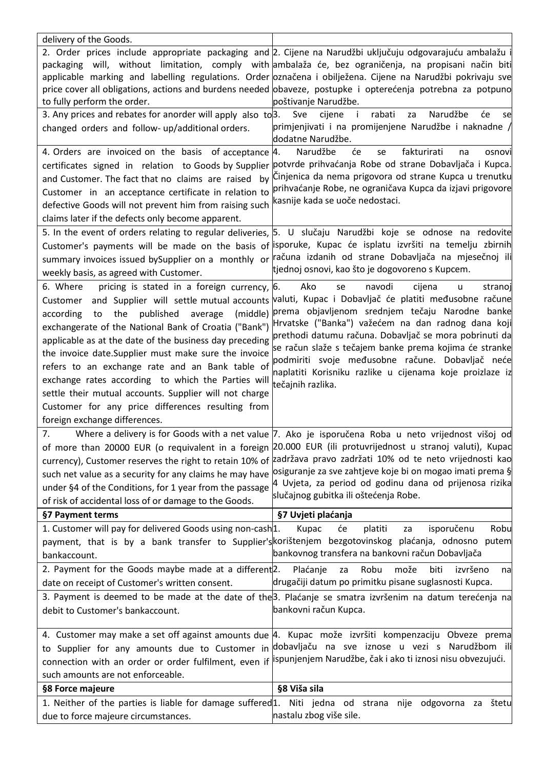| delivery of the Goods.                                                                            |                                                                                                                                   |
|---------------------------------------------------------------------------------------------------|-----------------------------------------------------------------------------------------------------------------------------------|
|                                                                                                   | 2. Order prices include appropriate packaging and 2. Cijene na Narudžbi uključuju odgovarajuću ambalažu i                         |
|                                                                                                   | packaging will, without limitation, comply with ambalaža će, bez ograničenja, na propisani način biti                             |
|                                                                                                   | applicable marking and labelling regulations. Order označena i obilježena. Cijene na Narudžbi pokrivaju sve                       |
|                                                                                                   | price cover all obligations, actions and burdens needed obaveze, postupke i opterećenja potrebna za potpuno                       |
| to fully perform the order.                                                                       | poštivanje Narudžbe.                                                                                                              |
| 3. Any prices and rebates for anorder will apply also to 3.                                       | rabati<br>Narudžbe<br>će<br>Sve<br>cijene<br>$\blacksquare$<br>za<br>se                                                           |
| changed orders and follow- up/additional orders.                                                  | primjenjivati i na promijenjene Narudžbe i naknadne /<br>dodatne Narudžbe.                                                        |
| 4. Orders are invoiced on the basis of acceptance                                                 | Narudžbe<br>će<br>fakturirati<br>4.<br>se<br>osnovi<br>na                                                                         |
|                                                                                                   | certificates signed in relation to Goods by Supplier potvrde prihvaćanja Robe od strane Dobavljača i Kupca.                       |
| and Customer. The fact that no claims are raised                                                  | by Cinjenica da nema prigovora od strane Kupca u trenutku                                                                         |
| Customer in an acceptance certificate in relation to                                              | prihvaćanje Robe, ne ograničava Kupca da izjavi prigovore                                                                         |
| defective Goods will not prevent him from raising such                                            | kasnije kada se uoče nedostaci.                                                                                                   |
| claims later if the defects only become apparent.                                                 |                                                                                                                                   |
|                                                                                                   | 5. In the event of orders relating to regular deliveries, 5. U slučaju Narudžbi koje se odnose na redovite                        |
|                                                                                                   | Customer's payments will be made on the basis of isporuke, Kupac će isplatu izvršiti na temelju zbirnih                           |
|                                                                                                   | summary invoices issued bySupplier on a monthly or računa izdanih od strane Dobavljača na mjesečnoj ili                           |
| weekly basis, as agreed with Customer.                                                            | tjednoj osnovi, kao što je dogovoreno s Kupcem.                                                                                   |
| 6. Where<br>pricing is stated in a foreign currency, 6.                                           | navodi<br>Ako<br>se<br>cijena<br>stranoj                                                                                          |
|                                                                                                   | u<br>valuti, Kupac i Dobavljač će platiti međusobne račune                                                                        |
| Customer and Supplier will settle mutual accounts                                                 | prema objavljenom srednjem tečaju Narodne banke                                                                                   |
| the published average<br>(middle)<br>according<br>to                                              | Hrvatske ("Banka") važećem na dan radnog dana koji                                                                                |
| exchangerate of the National Bank of Croatia ("Bank")                                             | prethodi datumu računa. Dobavljač se mora pobrinuti da                                                                            |
| applicable as at the date of the business day preceding                                           | se račun slaže s tečajem banke prema kojima će stranke                                                                            |
| the invoice date.Supplier must make sure the invoice                                              | podmiriti svoje međusobne račune. Dobavljač neće                                                                                  |
| refers to an exchange rate and an Bank table of                                                   | naplatiti Korisniku razlike u cijenama koje proizlaze iz                                                                          |
| exchange rates according to which the Parties will                                                | tečajnih razlika.                                                                                                                 |
| settle their mutual accounts. Supplier will not charge                                            |                                                                                                                                   |
| Customer for any price differences resulting from                                                 |                                                                                                                                   |
| foreign exchange differences.                                                                     |                                                                                                                                   |
| 7.                                                                                                | Where a delivery is for Goods with a net value 7. Ako je isporučena Roba u neto vrijednost višoj od                               |
| of more than 20000 EUR (o requivalent in a foreign                                                | 20.000 EUR (ili protuvrijednost u stranoj valuti), Kupac                                                                          |
| currency), Customer reserves the right to retain 10% of                                           | zadržava pravo zadržati 10% od te neto vrijednosti kao                                                                            |
| such net value as a security for any claims he may have                                           | osiguranje za sve zahtjeve koje bi on mogao imati prema §                                                                         |
| under §4 of the Conditions, for 1 year from the passage                                           | 4 Uvjeta, za period od godinu dana od prijenosa rizika                                                                            |
| of risk of accidental loss of or damage to the Goods.                                             | slučajnog gubitka ili oštećenja Robe.                                                                                             |
| §7 Payment terms                                                                                  | §7 Uvjeti plaćanja                                                                                                                |
|                                                                                                   |                                                                                                                                   |
| 1. Customer will pay for delivered Goods using non-cash <sup>1</sup> .                            | isporučenu<br>Robu<br>Kupac<br>će<br>platiti<br>za                                                                                |
|                                                                                                   | payment, that is by a bank transfer to Supplier's korištenjem bezgotovinskog plaćanja, odnosno putem                              |
| bankaccount.                                                                                      | bankovnog transfera na bankovni račun Dobavljača                                                                                  |
| 2. Payment for the Goods maybe made at a different <sup>2</sup> .                                 | Robu<br>može<br>Plaćanje<br>biti<br>izvršeno<br>za<br>na                                                                          |
| date on receipt of Customer's written consent.                                                    | drugačiji datum po primitku pisane suglasnosti Kupca.                                                                             |
|                                                                                                   |                                                                                                                                   |
| debit to Customer's bankaccount.                                                                  | 3. Payment is deemed to be made at the date of the 3. Plaćanje se smatra izvršenim na datum terećenja na<br>bankovni račun Kupca. |
|                                                                                                   |                                                                                                                                   |
|                                                                                                   | 4. Customer may make a set off against amounts due 4. Kupac može izvršiti kompenzaciju Obveze prema                               |
|                                                                                                   |                                                                                                                                   |
|                                                                                                   | to Supplier for any amounts due to Customer in dobavljaču na sve iznose u vezi s Narudžbom ili                                    |
| such amounts are not enforceable.                                                                 | connection with an order or order fulfilment, even if <i>ispunjenjem Narudžbe</i> , čak i ako ti iznosi nisu obvezujući.          |
| §8 Force majeure                                                                                  | §8 Viša sila                                                                                                                      |
| 1. Neither of the parties is liable for damage suffered 1. Niti jedna od strana nije odgovorna za | štetu                                                                                                                             |
| due to force majeure circumstances.                                                               | nastalu zbog više sile.                                                                                                           |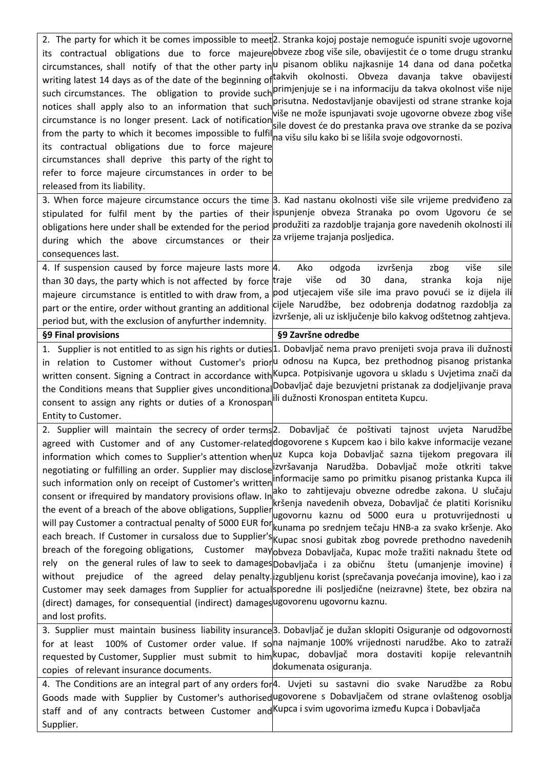| notices shall apply also to an information that such<br>circumstance is no longer present. Lack of notification<br>from the party to which it becomes impossible to fulfil<br>its contractual obligations due to force majeure<br>circumstances shall deprive this party of the right to<br>refer to force majeure circumstances in order to be<br>released from its liability. | 2. The party for which it be comes impossible to meet <sup>[2</sup> . Stranka kojoj postaje nemoguće ispuniti svoje ugovorne<br>its contractual obligations due to force majeure obveze zbog više sile, obavijestit će o tome drugu stranku<br>circumstances, shall notify of that the other party in u pisanom obliku najkasnije 14 dana od dana početka<br>writing latest 14 days as of the date of the beginning of takvih okolnosti. Obveza davanja takve obavijesti<br>such circumstances. The obligation to provide such primjenjuje se i na informaciju da takva okolnost više nije<br>prisutna. Nedostavljanje obavijesti od strane stranke koja<br>više ne može ispunjavati svoje ugovorne obveze zbog više<br>sile dovest će do prestanka prava ove stranke da se poziva<br>na višu silu kako bi se lišila svoje odgovornosti.                                                                                                                                                                                                                                                                                                                                                                                                                                                                                                                                                                                                   |
|---------------------------------------------------------------------------------------------------------------------------------------------------------------------------------------------------------------------------------------------------------------------------------------------------------------------------------------------------------------------------------|--------------------------------------------------------------------------------------------------------------------------------------------------------------------------------------------------------------------------------------------------------------------------------------------------------------------------------------------------------------------------------------------------------------------------------------------------------------------------------------------------------------------------------------------------------------------------------------------------------------------------------------------------------------------------------------------------------------------------------------------------------------------------------------------------------------------------------------------------------------------------------------------------------------------------------------------------------------------------------------------------------------------------------------------------------------------------------------------------------------------------------------------------------------------------------------------------------------------------------------------------------------------------------------------------------------------------------------------------------------------------------------------------------------------------------------------|
| during which the above circumstances or their a vrijeme-trajanja-posljedica.<br>consequences last.                                                                                                                                                                                                                                                                              | 3. When force majeure circumstance occurs the time 3. Kad nastanu okolnosti više sile vrijeme predviđeno za<br>stipulated for fulfil ment by the parties of their ispunjenje obveza Stranaka po ovom Ugovoru će se<br>obligations here under shall be extended for the period <i>produžiti za razdoblje trajanja gore navedenih okolnosti ili</i>                                                                                                                                                                                                                                                                                                                                                                                                                                                                                                                                                                                                                                                                                                                                                                                                                                                                                                                                                                                                                                                                                          |
| 4. If suspension caused by force majeure lasts more $ 4$ .<br>than 30 days, the party which is not affected by force traje<br>part or the entire, order without granting an additional<br>period but, with the exclusion of anyfurther indemnity.                                                                                                                               | više<br>sile<br>Ako<br>odgoda<br>izvršenja<br>zbog<br>od<br>dana,<br>više<br>30<br>stranka<br>koja<br>nije<br>majeure circumstance is entitled to with draw from, a pod utjecajem više sile ima pravo povući se iz dijela ili<br>cijele Narudžbe, bez odobrenja dodatnog razdoblja za<br>izvršenje, ali uz isključenje bilo kakvog odštetnog zahtjeva.                                                                                                                                                                                                                                                                                                                                                                                                                                                                                                                                                                                                                                                                                                                                                                                                                                                                                                                                                                                                                                                                                     |
| §9 Final provisions                                                                                                                                                                                                                                                                                                                                                             | §9 Završne odredbe                                                                                                                                                                                                                                                                                                                                                                                                                                                                                                                                                                                                                                                                                                                                                                                                                                                                                                                                                                                                                                                                                                                                                                                                                                                                                                                                                                                                                         |
| consent to assign any rights or duties of a Kronospan<br>Entity to Customer.                                                                                                                                                                                                                                                                                                    | 1. Supplier is not entitled to as sign his rights or duties <sup>1</sup> . Dobavljač nema pravo prenijeti svoja prava ili dužnosti<br>in relation to Customer without Customer's priorul odnosu na Kupca, bez prethodnog pisanog pristanka<br>written consent. Signing a Contract in accordance with Kupca. Potpisivanje ugovora u skladu s Uvjetima znači da<br>the Conditions means that Supplier gives unconditionalDobavljač daje bezuvjetni pristanak za dodjeljivanje prava<br>ili dužnosti Kronospan entiteta Kupcu.                                                                                                                                                                                                                                                                                                                                                                                                                                                                                                                                                                                                                                                                                                                                                                                                                                                                                                                |
| consent or ifrequired by mandatory provisions oflaw. In<br>breach of the foregoing obligations, Customer<br>without<br>(direct) damages, for consequential (indirect) damages ugovorenu ugovornu kaznu.<br>and lost profits.                                                                                                                                                    | 2. Supplier will maintain the secrecy of order terms <sup>2</sup> . Dobavljač će poštivati tajnost uvjeta Narudžbe<br>agreed with Customer and of any Customer-related dogovorene s Kupcem kao i bilo kakve informacije vezane<br>information which comes to Supplier's attention whenul Kupca koja Dobavljač sazna tijekom pregovara ili<br>negotiating or fulfilling an order. Supplier may disclose izvršavanja Narudžba. Dobavljač može otkriti takve<br>such information only on receipt of Customer's written informacije samo po primitku pisanog pristanka Kupca ili<br>ako to zahtijevaju obvezne odredbe zakona. U slučaju<br>kršenja navedenih obveza, Dobavljač će platiti Korisniku<br>the event of a breach of the above obligations, Supplier ugovornu kaznu od 5000 eura u protuvrijednosti u<br>will pay Customer a contractual penalty of 5000 EUR for kunama po srednjem tečaju HNB-a za svako kršenje. Ako<br>each breach. If Customer in cursaloss due to Supplier's Kupac snosi gubitak zbog povrede prethodno navedenih<br>mayobveza Dobavljača, Kupac može tražiti naknadu štete od<br>rely on the general rules of law to seek to damages Dobavljača i za običnu štetu (umanjenje imovine) i<br>prejudice of the agreed delay penalty lizgubljenu korist (sprečavanja povećanja imovine), kao i za<br>Customer may seek damages from Supplier for actualsporedne ili posljedične (neizravne) štete, bez obzira na |
| for at least<br>copies of relevant insurance documents.                                                                                                                                                                                                                                                                                                                         | 3. Supplier must maintain business liability insurance3. Dobavljač je dužan sklopiti Osiguranje od odgovornosti<br>100% of Customer order value. If sona najmanje 100% vrijednosti narudžbe. Ako to zatraži<br>requested by Customer, Supplier must submit to him kupac, dobavljač mora dostaviti kopije relevantnih<br>dokumenata osiguranja.                                                                                                                                                                                                                                                                                                                                                                                                                                                                                                                                                                                                                                                                                                                                                                                                                                                                                                                                                                                                                                                                                             |
| staff and of any contracts between Customer and Kupca i svim ugovorima između Kupca i Dobavljača<br>Supplier.                                                                                                                                                                                                                                                                   | 4. The Conditions are an integral part of any orders for 4. Uvjeti su sastavni dio svake Narudžbe za Robu<br>Goods made with Supplier by Customer's authorised ugovorene s Dobavljačem od strane ovlaštenog osoblja                                                                                                                                                                                                                                                                                                                                                                                                                                                                                                                                                                                                                                                                                                                                                                                                                                                                                                                                                                                                                                                                                                                                                                                                                        |